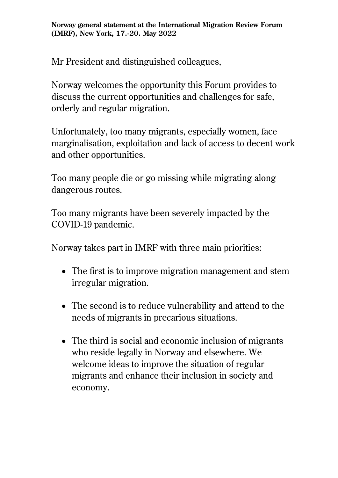**Norway general statement at the International Migration Review Forum (IMRF), New York, 17.-20. May 2022**

Mr President and distinguished colleagues,

Norway welcomes the opportunity this Forum provides to discuss the current opportunities and challenges for safe, orderly and regular migration.

Unfortunately, too many migrants, especially women, face marginalisation, exploitation and lack of access to decent work and other opportunities.

Too many people die or go missing while migrating along dangerous routes.

Too many migrants have been severely impacted by the COVID-19 pandemic.

Norway takes part in IMRF with three main priorities:

- The first is to improve migration management and stem irregular migration.
- The second is to reduce vulnerability and attend to the needs of migrants in precarious situations.
- The third is social and economic inclusion of migrants who reside legally in Norway and elsewhere. We welcome ideas to improve the situation of regular migrants and enhance their inclusion in society and economy.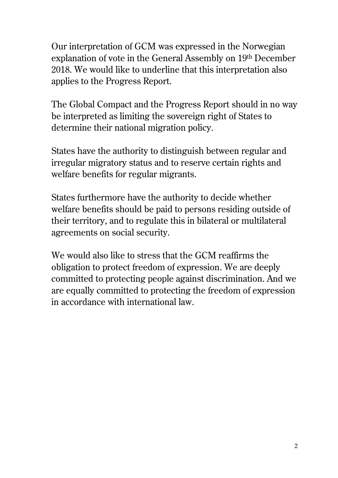Our interpretation of GCM was expressed in the Norwegian explanation of vote in the General Assembly on 19th December 2018. We would like to underline that this interpretation also applies to the Progress Report.

The Global Compact and the Progress Report should in no way be interpreted as limiting the sovereign right of States to determine their national migration policy.

States have the authority to distinguish between regular and irregular migratory status and to reserve certain rights and welfare benefits for regular migrants.

States furthermore have the authority to decide whether welfare benefits should be paid to persons residing outside of their territory, and to regulate this in bilateral or multilateral agreements on social security.

We would also like to stress that the GCM reaffirms the obligation to protect freedom of expression. We are deeply committed to protecting people against discrimination. And we are equally committed to protecting the freedom of expression in accordance with international law.